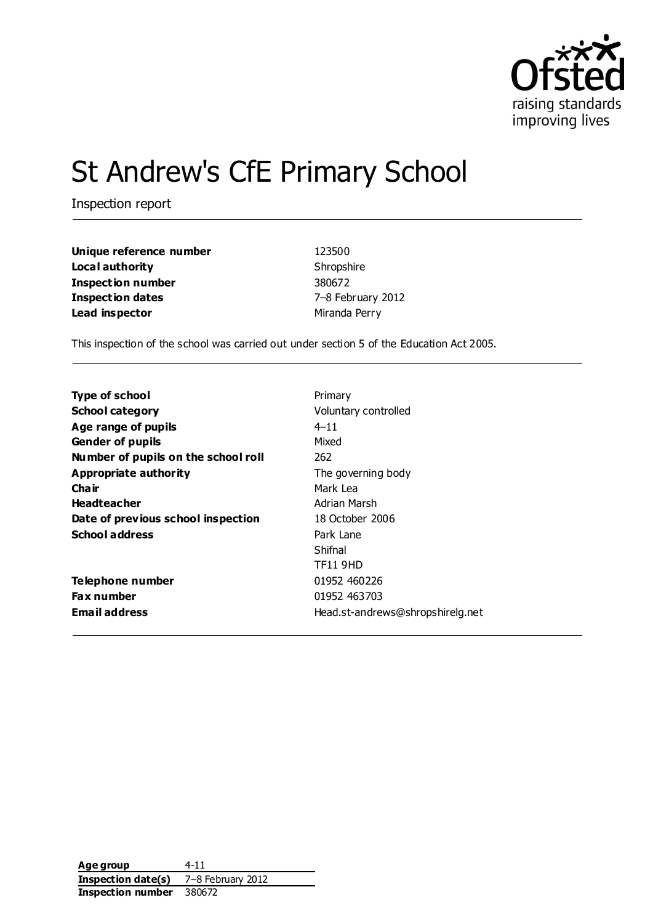

# St Andrew's CfE Primary School

Inspection report

| Unique reference number | 123500         |
|-------------------------|----------------|
| Local authority         | Shropshire     |
| Inspection number       | 380672         |
| <b>Inspection dates</b> | 7-8 February 2 |
| Lead inspector          | Miranda Perry  |

**Unique reference number** 123500 Shropshire **Inspection number** 380672 **Inspection dates** 7–8 February 2012

This inspection of the school was carried out under section 5 of the Education Act 2005.

| Type of school                      | Primary                          |
|-------------------------------------|----------------------------------|
| <b>School category</b>              | Voluntary controlled             |
| Age range of pupils                 | $4 - 11$                         |
| <b>Gender of pupils</b>             | Mixed                            |
| Number of pupils on the school roll | 262                              |
| Appropriate authority               | The governing body               |
| Cha ir                              | Mark Lea                         |
| <b>Headteacher</b>                  | Adrian Marsh                     |
| Date of previous school inspection  | 18 October 2006                  |
| <b>School address</b>               | Park Lane                        |
|                                     | Shifnal                          |
|                                     | <b>TF11 9HD</b>                  |
| Telephone number                    | 01952 460226                     |
| <b>Fax number</b>                   | 01952 463703                     |
| <b>Email address</b>                | Head.st-andrews@shropshirelg.net |

Age group 4-11 **Inspection date(s)** 7–8 February 2012 **Inspection number** 380672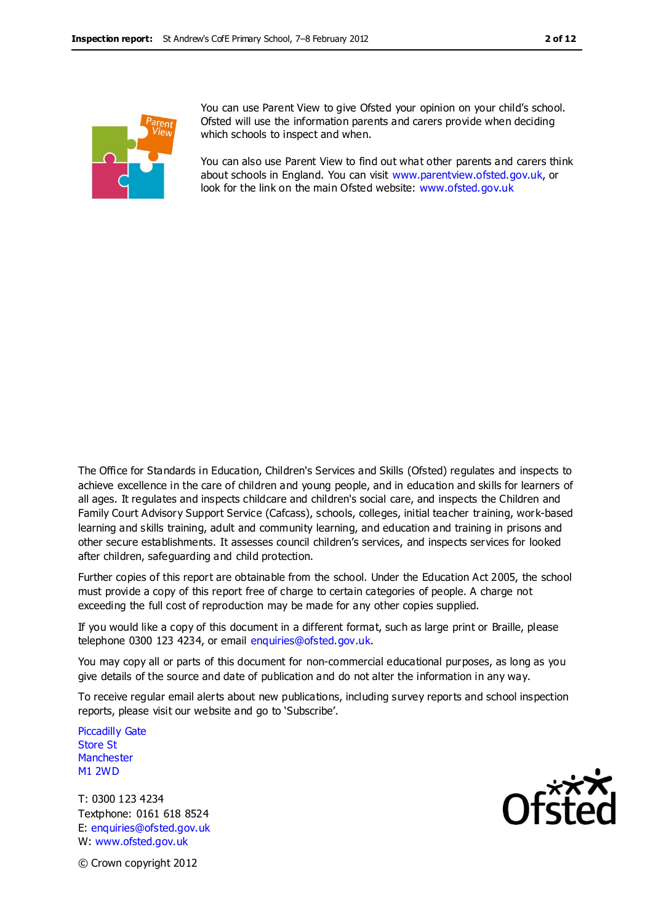

You can use Parent View to give Ofsted your opinion on your child's school. Ofsted will use the information parents and carers provide when deciding which schools to inspect and when.

You can also use Parent View to find out what other parents and carers think about schools in England. You can visit [www.parentview.ofsted.gov.uk,](http://www.parentview.ofsted.gov.uk/) or look for the link on the main Ofsted website: [www.ofsted.gov.uk](http://www.ofsted.gov.uk/)

The Office for Standards in Education, Children's Services and Skills (Ofsted) regulates and inspects to achieve excellence in the care of children and young people, and in education and skills for learners of all ages. It regulates and inspects childcare and children's social care, and inspects the Children and Family Court Advisory Support Service (Cafcass), schools, colleges, initial teacher training, work-based learning and skills training, adult and community learning, and education and training in prisons and other secure establishments. It assesses council children's services, and inspects services for looked after children, safeguarding and child protection.

Further copies of this report are obtainable from the school. Under the Education Act 2005, the school must provide a copy of this report free of charge to certain categories of people. A charge not exceeding the full cost of reproduction may be made for any other copies supplied.

If you would like a copy of this document in a different format, such as large print or Braille, please telephone 0300 123 4234, or email enquiries@ofsted.gov.uk.

You may copy all or parts of this document for non-commercial educational purposes, as long as you give details of the source and date of publication and do not alter the information in any way.

To receive regular email alerts about new publications, including survey reports and school inspection reports, please visit our website and go to 'Subscribe'.

Piccadilly Gate Store St **Manchester** M1 2WD

T: 0300 123 4234 Textphone: 0161 618 8524 E: enquiries@ofsted.gov.uk W: www.ofsted.gov.uk



© Crown copyright 2012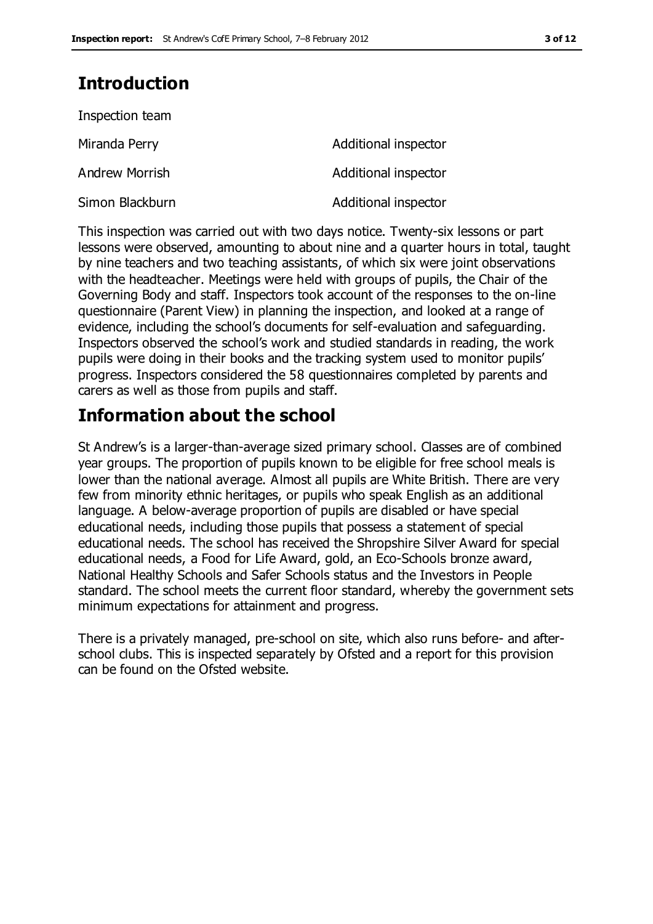# **Introduction**

| Inspection team |                      |
|-----------------|----------------------|
| Miranda Perry   | Additional inspector |
| Andrew Morrish  | Additional inspector |
| Simon Blackburn | Additional inspector |

This inspection was carried out with two days notice. Twenty-six lessons or part lessons were observed, amounting to about nine and a quarter hours in total, taught by nine teachers and two teaching assistants, of which six were joint observations with the headteacher. Meetings were held with groups of pupils, the Chair of the Governing Body and staff. Inspectors took account of the responses to the on-line questionnaire (Parent View) in planning the inspection, and looked at a range of evidence, including the school's documents for self-evaluation and safeguarding. Inspectors observed the school's work and studied standards in reading, the work pupils were doing in their books and the tracking system used to monitor pupils' progress. Inspectors considered the 58 questionnaires completed by parents and carers as well as those from pupils and staff.

# **Information about the school**

St Andrew's is a larger-than-average sized primary school. Classes are of combined year groups. The proportion of pupils known to be eligible for free school meals is lower than the national average. Almost all pupils are White British. There are very few from minority ethnic heritages, or pupils who speak English as an additional language. A below-average proportion of pupils are disabled or have special educational needs, including those pupils that possess a statement of special educational needs. The school has received the Shropshire Silver Award for special educational needs, a Food for Life Award, gold, an Eco-Schools bronze award, National Healthy Schools and Safer Schools status and the Investors in People standard. The school meets the current floor standard, whereby the government sets minimum expectations for attainment and progress.

There is a privately managed, pre-school on site, which also runs before- and afterschool clubs. This is inspected separately by Ofsted and a report for this provision can be found on the Ofsted website.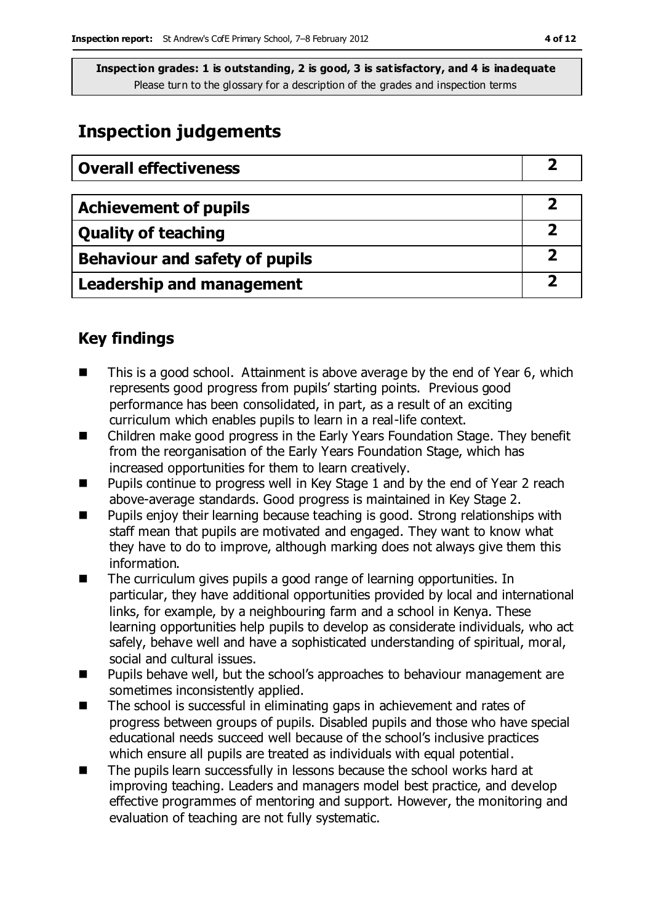## **Inspection judgements**

| <b>Overall effectiveness</b>          |  |
|---------------------------------------|--|
|                                       |  |
| <b>Achievement of pupils</b>          |  |
| <b>Quality of teaching</b>            |  |
| <b>Behaviour and safety of pupils</b> |  |
| <b>Leadership and management</b>      |  |

### **Key findings**

- This is a good school. Attainment is above average by the end of Year 6, which represents good progress from pupils' starting points. Previous good performance has been consolidated, in part, as a result of an exciting curriculum which enables pupils to learn in a real-life context.
- Children make good progress in the Early Years Foundation Stage. They benefit from the reorganisation of the Early Years Foundation Stage, which has increased opportunities for them to learn creatively.
- $\blacksquare$  Pupils continue to progress well in Key Stage 1 and by the end of Year 2 reach above-average standards. Good progress is maintained in Key Stage 2.
- **Pupils enjoy their learning because teaching is good. Strong relationships with** staff mean that pupils are motivated and engaged. They want to know what they have to do to improve, although marking does not always give them this information.
- The curriculum gives pupils a good range of learning opportunities. In particular, they have additional opportunities provided by local and international links, for example, by a neighbouring farm and a school in Kenya. These learning opportunities help pupils to develop as considerate individuals, who act safely, behave well and have a sophisticated understanding of spiritual, moral, social and cultural issues.
- Pupils behave well, but the school's approaches to behaviour management are sometimes inconsistently applied.
- The school is successful in eliminating gaps in achievement and rates of progress between groups of pupils. Disabled pupils and those who have special educational needs succeed well because of the school's inclusive practices which ensure all pupils are treated as individuals with equal potential.
- The pupils learn successfully in lessons because the school works hard at improving teaching. Leaders and managers model best practice, and develop effective programmes of mentoring and support. However, the monitoring and evaluation of teaching are not fully systematic.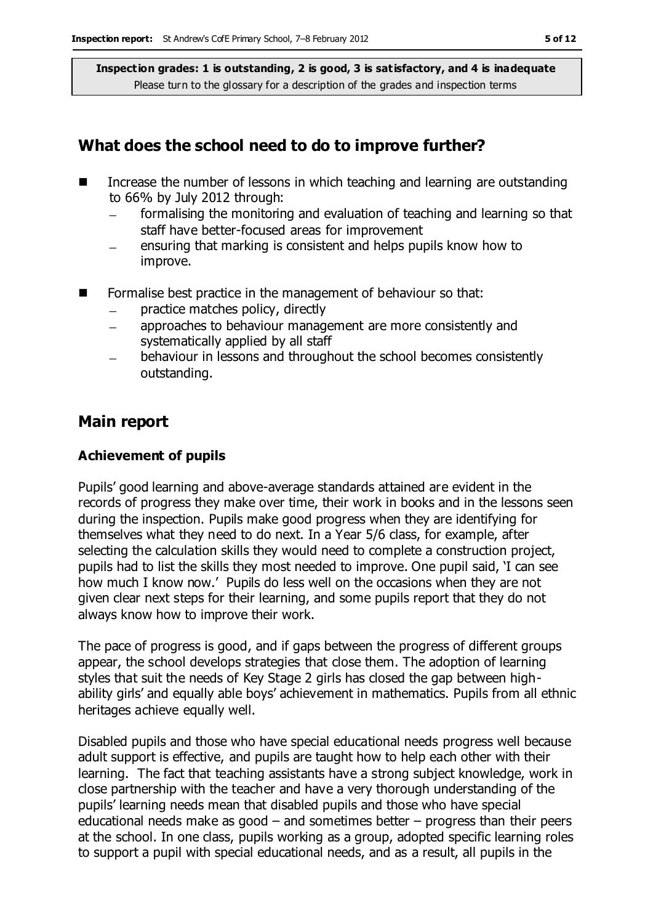#### **What does the school need to do to improve further?**

- Increase the number of lessons in which teaching and learning are outstanding to 66% by July 2012 through:
	- formalising the monitoring and evaluation of teaching and learning so that staff have better-focused areas for improvement
	- ensuring that marking is consistent and helps pupils know how to improve.
- **Formalise best practice in the management of behaviour so that:** 
	- practice matches policy, directly  $\equiv$
	- approaches to behaviour management are more consistently and systematically applied by all staff
	- behaviour in lessons and throughout the school becomes consistently outstanding.

#### **Main report**

#### **Achievement of pupils**

Pupils' good learning and above-average standards attained are evident in the records of progress they make over time, their work in books and in the lessons seen during the inspection. Pupils make good progress when they are identifying for themselves what they need to do next. In a Year 5/6 class, for example, after selecting the calculation skills they would need to complete a construction project, pupils had to list the skills they most needed to improve. One pupil said, 'I can see how much I know now.' Pupils do less well on the occasions when they are not given clear next steps for their learning, and some pupils report that they do not always know how to improve their work.

The pace of progress is good, and if gaps between the progress of different groups appear, the school develops strategies that close them. The adoption of learning styles that suit the needs of Key Stage 2 girls has closed the gap between highability girls' and equally able boys' achievement in mathematics. Pupils from all ethnic heritages achieve equally well.

Disabled pupils and those who have special educational needs progress well because adult support is effective, and pupils are taught how to help each other with their learning. The fact that teaching assistants have a strong subject knowledge, work in close partnership with the teacher and have a very thorough understanding of the pupils' learning needs mean that disabled pupils and those who have special educational needs make as good  $-$  and sometimes better  $-$  progress than their peers at the school. In one class, pupils working as a group, adopted specific learning roles to support a pupil with special educational needs, and as a result, all pupils in the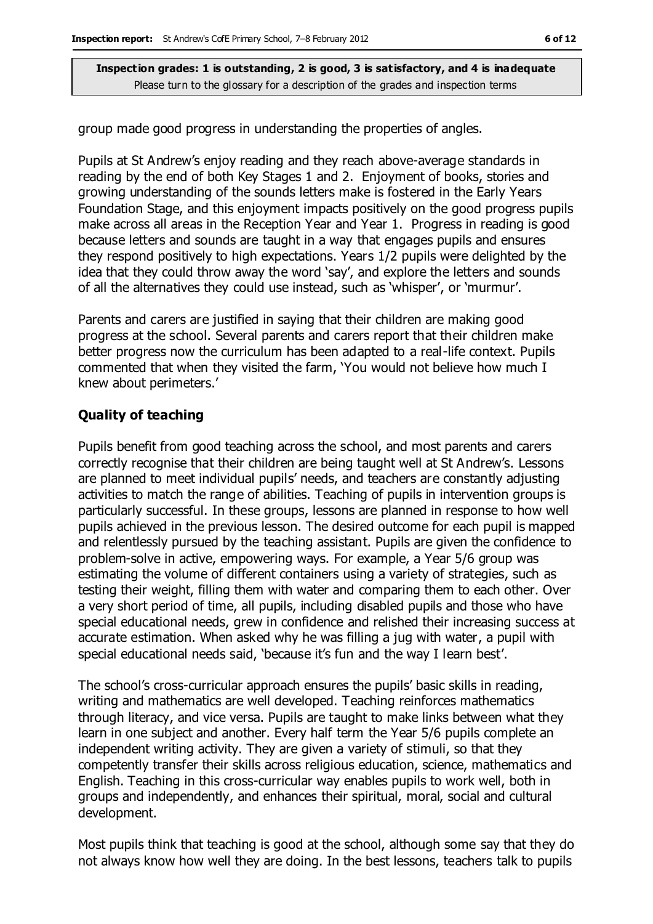group made good progress in understanding the properties of angles.

Pupils at St Andrew's enjoy reading and they reach above-average standards in reading by the end of both Key Stages 1 and 2. Enjoyment of books, stories and growing understanding of the sounds letters make is fostered in the Early Years Foundation Stage, and this enjoyment impacts positively on the good progress pupils make across all areas in the Reception Year and Year 1. Progress in reading is good because letters and sounds are taught in a way that engages pupils and ensures they respond positively to high expectations. Years 1/2 pupils were delighted by the idea that they could throw away the word 'say', and explore the letters and sounds of all the alternatives they could use instead, such as 'whisper', or 'murmur'.

Parents and carers are justified in saying that their children are making good progress at the school. Several parents and carers report that their children make better progress now the curriculum has been adapted to a real-life context. Pupils commented that when they visited the farm, 'You would not believe how much I knew about perimeters.'

#### **Quality of teaching**

Pupils benefit from good teaching across the school, and most parents and carers correctly recognise that their children are being taught well at St Andrew's. Lessons are planned to meet individual pupils' needs, and teachers are constantly adjusting activities to match the range of abilities. Teaching of pupils in intervention groups is particularly successful. In these groups, lessons are planned in response to how well pupils achieved in the previous lesson. The desired outcome for each pupil is mapped and relentlessly pursued by the teaching assistant. Pupils are given the confidence to problem-solve in active, empowering ways. For example, a Year 5/6 group was estimating the volume of different containers using a variety of strategies, such as testing their weight, filling them with water and comparing them to each other. Over a very short period of time, all pupils, including disabled pupils and those who have special educational needs, grew in confidence and relished their increasing success at accurate estimation. When asked why he was filling a jug with water, a pupil with special educational needs said, 'because it's fun and the way I learn best'.

The school's cross-curricular approach ensures the pupils' basic skills in reading, writing and mathematics are well developed. Teaching reinforces mathematics through literacy, and vice versa. Pupils are taught to make links between what they learn in one subject and another. Every half term the Year 5/6 pupils complete an independent writing activity. They are given a variety of stimuli, so that they competently transfer their skills across religious education, science, mathematics and English. Teaching in this cross-curricular way enables pupils to work well, both in groups and independently, and enhances their spiritual, moral, social and cultural development.

Most pupils think that teaching is good at the school, although some say that they do not always know how well they are doing. In the best lessons, teachers talk to pupils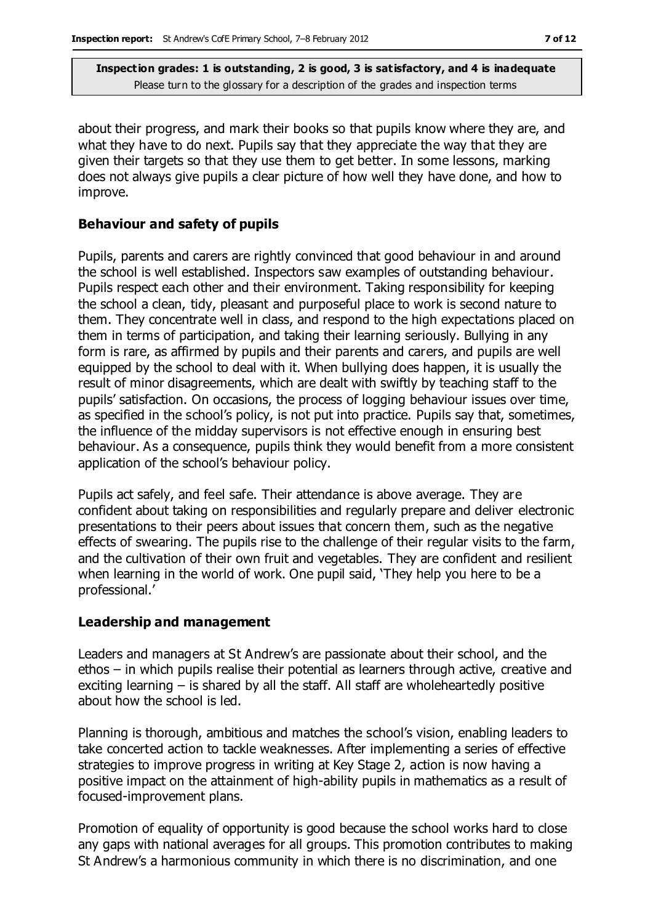about their progress, and mark their books so that pupils know where they are, and what they have to do next. Pupils say that they appreciate the way that they are given their targets so that they use them to get better. In some lessons, marking does not always give pupils a clear picture of how well they have done, and how to improve.

#### **Behaviour and safety of pupils**

Pupils, parents and carers are rightly convinced that good behaviour in and around the school is well established. Inspectors saw examples of outstanding behaviour. Pupils respect each other and their environment. Taking responsibility for keeping the school a clean, tidy, pleasant and purposeful place to work is second nature to them. They concentrate well in class, and respond to the high expectations placed on them in terms of participation, and taking their learning seriously. Bullying in any form is rare, as affirmed by pupils and their parents and carers, and pupils are well equipped by the school to deal with it. When bullying does happen, it is usually the result of minor disagreements, which are dealt with swiftly by teaching staff to the pupils' satisfaction. On occasions, the process of logging behaviour issues over time, as specified in the school's policy, is not put into practice. Pupils say that, sometimes, the influence of the midday supervisors is not effective enough in ensuring best behaviour. As a consequence, pupils think they would benefit from a more consistent application of the school's behaviour policy.

Pupils act safely, and feel safe. Their attendance is above average. They are confident about taking on responsibilities and regularly prepare and deliver electronic presentations to their peers about issues that concern them, such as the negative effects of swearing. The pupils rise to the challenge of their regular visits to the farm, and the cultivation of their own fruit and vegetables. They are confident and resilient when learning in the world of work. One pupil said, 'They help you here to be a professional.'

#### **Leadership and management**

Leaders and managers at St Andrew's are passionate about their school, and the ethos – in which pupils realise their potential as learners through active, creative and exciting learning – is shared by all the staff. All staff are wholeheartedly positive about how the school is led.

Planning is thorough, ambitious and matches the school's vision, enabling leaders to take concerted action to tackle weaknesses. After implementing a series of effective strategies to improve progress in writing at Key Stage 2, action is now having a positive impact on the attainment of high-ability pupils in mathematics as a result of focused-improvement plans.

Promotion of equality of opportunity is good because the school works hard to close any gaps with national averages for all groups. This promotion contributes to making St Andrew's a harmonious community in which there is no discrimination, and one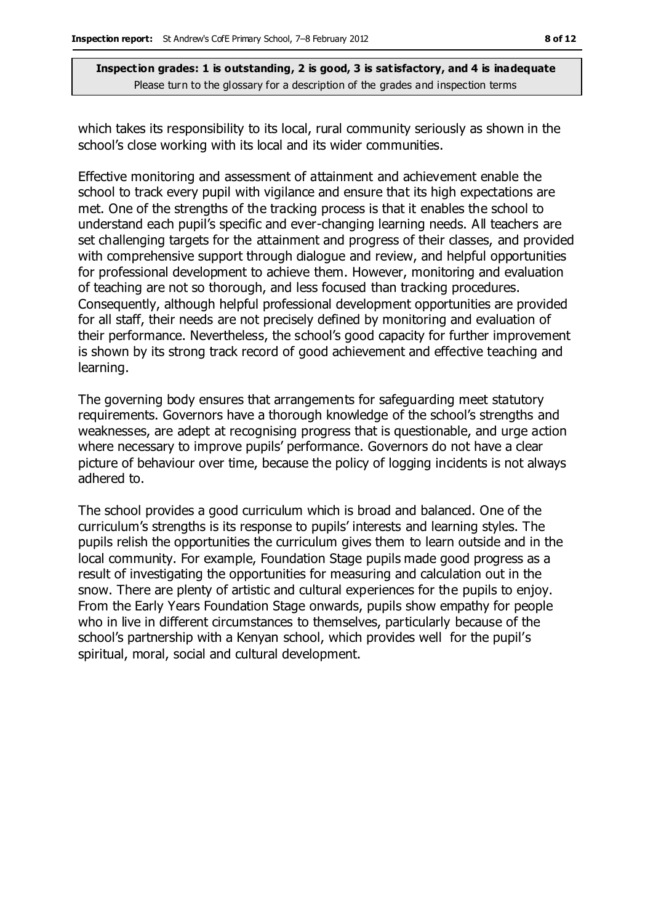which takes its responsibility to its local, rural community seriously as shown in the school's close working with its local and its wider communities.

Effective monitoring and assessment of attainment and achievement enable the school to track every pupil with vigilance and ensure that its high expectations are met. One of the strengths of the tracking process is that it enables the school to understand each pupil's specific and ever-changing learning needs. All teachers are set challenging targets for the attainment and progress of their classes, and provided with comprehensive support through dialogue and review, and helpful opportunities for professional development to achieve them. However, monitoring and evaluation of teaching are not so thorough, and less focused than tracking procedures. Consequently, although helpful professional development opportunities are provided for all staff, their needs are not precisely defined by monitoring and evaluation of their performance. Nevertheless, the school's good capacity for further improvement is shown by its strong track record of good achievement and effective teaching and learning.

The governing body ensures that arrangements for safeguarding meet statutory requirements. Governors have a thorough knowledge of the school's strengths and weaknesses, are adept at recognising progress that is questionable, and urge action where necessary to improve pupils' performance. Governors do not have a clear picture of behaviour over time, because the policy of logging incidents is not always adhered to.

The school provides a good curriculum which is broad and balanced. One of the curriculum's strengths is its response to pupils' interests and learning styles. The pupils relish the opportunities the curriculum gives them to learn outside and in the local community. For example, Foundation Stage pupils made good progress as a result of investigating the opportunities for measuring and calculation out in the snow. There are plenty of artistic and cultural experiences for the pupils to enjoy. From the Early Years Foundation Stage onwards, pupils show empathy for people who in live in different circumstances to themselves, particularly because of the school's partnership with a Kenyan school, which provides well for the pupil's spiritual, moral, social and cultural development.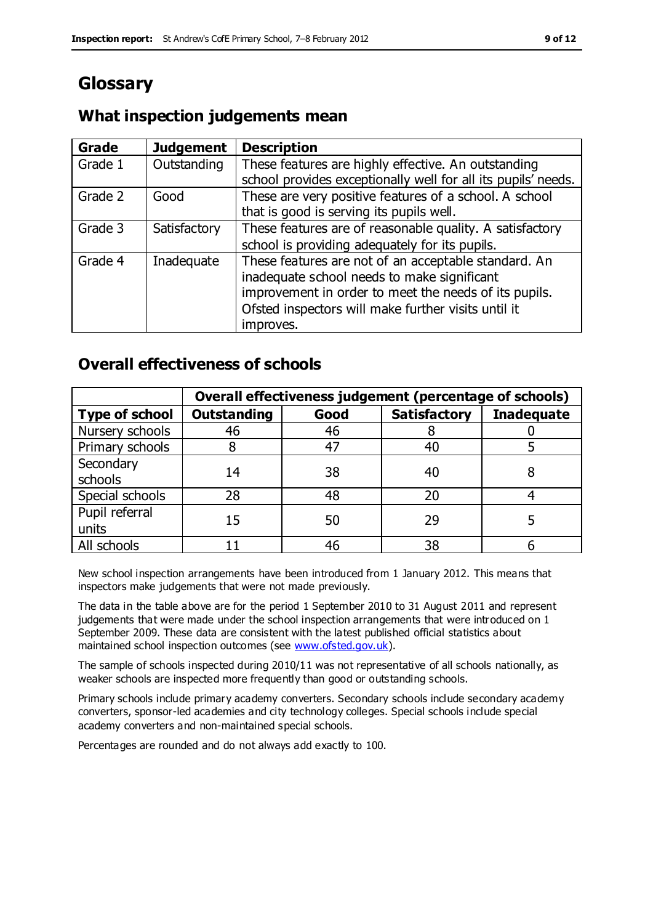# **Glossary**

### **What inspection judgements mean**

| Grade   | <b>Judgement</b> | <b>Description</b>                                            |
|---------|------------------|---------------------------------------------------------------|
| Grade 1 | Outstanding      | These features are highly effective. An outstanding           |
|         |                  | school provides exceptionally well for all its pupils' needs. |
| Grade 2 | Good             | These are very positive features of a school. A school        |
|         |                  | that is good is serving its pupils well.                      |
| Grade 3 | Satisfactory     | These features are of reasonable quality. A satisfactory      |
|         |                  | school is providing adequately for its pupils.                |
| Grade 4 | Inadequate       | These features are not of an acceptable standard. An          |
|         |                  | inadequate school needs to make significant                   |
|         |                  | improvement in order to meet the needs of its pupils.         |
|         |                  | Ofsted inspectors will make further visits until it           |
|         |                  | improves.                                                     |

#### **Overall effectiveness of schools**

|                         | Overall effectiveness judgement (percentage of schools) |      |                     |                   |
|-------------------------|---------------------------------------------------------|------|---------------------|-------------------|
| <b>Type of school</b>   | <b>Outstanding</b>                                      | Good | <b>Satisfactory</b> | <b>Inadequate</b> |
| Nursery schools         | 46                                                      | 46   |                     |                   |
| Primary schools         |                                                         | 47   | 40                  |                   |
| Secondary<br>schools    | 14                                                      | 38   | 40                  |                   |
| Special schools         | 28                                                      | 48   | 20                  |                   |
| Pupil referral<br>units | 15                                                      | 50   | 29                  |                   |
| All schools             |                                                         | 46   | 38                  |                   |

New school inspection arrangements have been introduced from 1 January 2012. This means that inspectors make judgements that were not made previously.

The data in the table above are for the period 1 September 2010 to 31 August 2011 and represent judgements that were made under the school inspection arrangements that were introduced on 1 September 2009. These data are consistent with the latest published official statistics about maintained school inspection outcomes (see [www.ofsted.gov.uk\)](http://www.ofsted.gov.uk/).

The sample of schools inspected during 2010/11 was not representative of all schools nationally, as weaker schools are inspected more frequently than good or outstanding schools.

Primary schools include primary academy converters. Secondary schools include secondary academy converters, sponsor-led academies and city technology colleges. Special schools include special academy converters and non-maintained special schools.

Percentages are rounded and do not always add exactly to 100.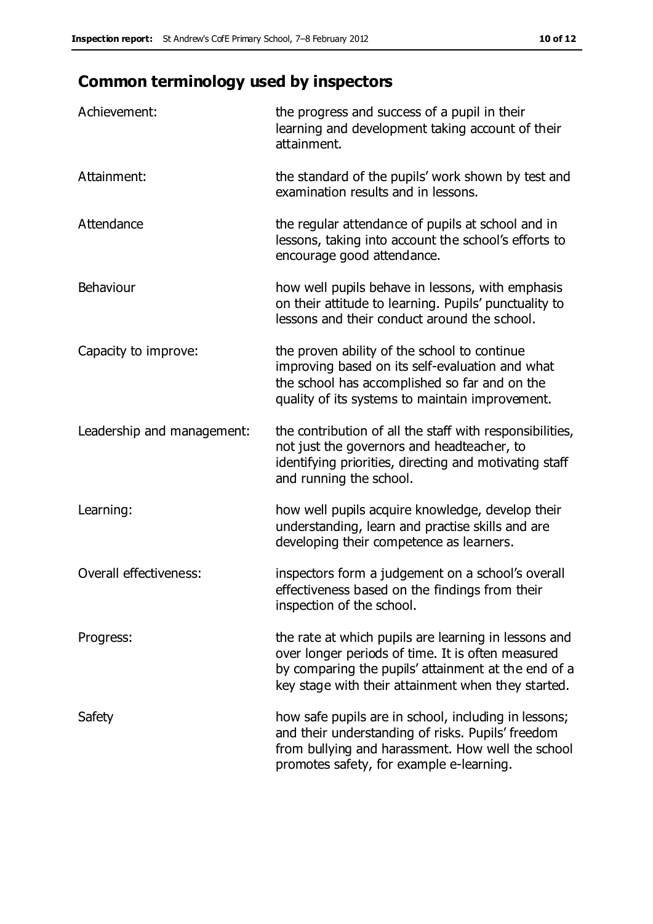# **Common terminology used by inspectors**

| Achievement:                  | the progress and success of a pupil in their<br>learning and development taking account of their<br>attainment.                                                                                                        |
|-------------------------------|------------------------------------------------------------------------------------------------------------------------------------------------------------------------------------------------------------------------|
| Attainment:                   | the standard of the pupils' work shown by test and<br>examination results and in lessons.                                                                                                                              |
| Attendance                    | the regular attendance of pupils at school and in<br>lessons, taking into account the school's efforts to<br>encourage good attendance.                                                                                |
| Behaviour                     | how well pupils behave in lessons, with emphasis<br>on their attitude to learning. Pupils' punctuality to<br>lessons and their conduct around the school.                                                              |
| Capacity to improve:          | the proven ability of the school to continue<br>improving based on its self-evaluation and what<br>the school has accomplished so far and on the<br>quality of its systems to maintain improvement.                    |
| Leadership and management:    | the contribution of all the staff with responsibilities,<br>not just the governors and headteacher, to<br>identifying priorities, directing and motivating staff<br>and running the school.                            |
| Learning:                     | how well pupils acquire knowledge, develop their<br>understanding, learn and practise skills and are<br>developing their competence as learners.                                                                       |
| <b>Overall effectiveness:</b> | inspectors form a judgement on a school's overall<br>effectiveness based on the findings from their<br>inspection of the school.                                                                                       |
| Progress:                     | the rate at which pupils are learning in lessons and<br>over longer periods of time. It is often measured<br>by comparing the pupils' attainment at the end of a<br>key stage with their attainment when they started. |
| Safety                        | how safe pupils are in school, including in lessons;<br>and their understanding of risks. Pupils' freedom<br>from bullying and harassment. How well the school<br>promotes safety, for example e-learning.             |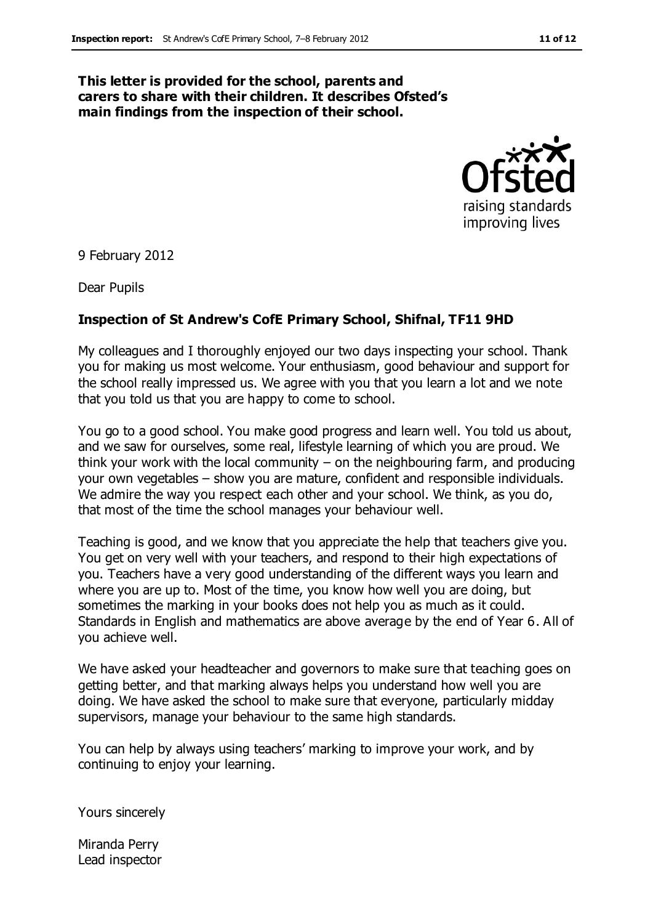#### **This letter is provided for the school, parents and carers to share with their children. It describes Ofsted's main findings from the inspection of their school.**



9 February 2012

Dear Pupils

#### **Inspection of St Andrew's CofE Primary School, Shifnal, TF11 9HD**

My colleagues and I thoroughly enjoyed our two days inspecting your school. Thank you for making us most welcome. Your enthusiasm, good behaviour and support for the school really impressed us. We agree with you that you learn a lot and we note that you told us that you are happy to come to school.

You go to a good school. You make good progress and learn well. You told us about, and we saw for ourselves, some real, lifestyle learning of which you are proud. We think your work with the local community – on the neighbouring farm, and producing your own vegetables – show you are mature, confident and responsible individuals. We admire the way you respect each other and your school. We think, as you do, that most of the time the school manages your behaviour well.

Teaching is good, and we know that you appreciate the help that teachers give you. You get on very well with your teachers, and respond to their high expectations of you. Teachers have a very good understanding of the different ways you learn and where you are up to. Most of the time, you know how well you are doing, but sometimes the marking in your books does not help you as much as it could. Standards in English and mathematics are above average by the end of Year 6. All of you achieve well.

We have asked your headteacher and governors to make sure that teaching goes on getting better, and that marking always helps you understand how well you are doing. We have asked the school to make sure that everyone, particularly midday supervisors, manage your behaviour to the same high standards.

You can help by always using teachers' marking to improve your work, and by continuing to enjoy your learning.

Yours sincerely

Miranda Perry Lead inspector